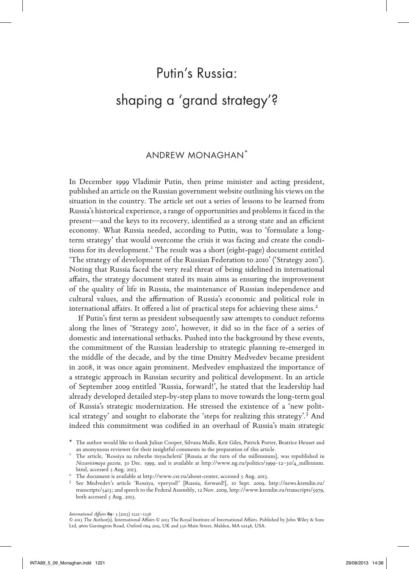# Putin's Russia:

# shaping a 'grand strategy'?

# ANDREW MONAGHAN\*

In December 1999 Vladimir Putin, then prime minister and acting president, published an article on the Russian government website outlining his views on the situation in the country. The article set out a series of lessons to be learned from Russia's historical experience, a range of opportunities and problems it faced in the present—and the keys to its recovery, identified as a strong state and an efficient economy. What Russia needed, according to Putin, was to 'formulate a longterm strategy' that would overcome the crisis it was facing and create the conditions for its development.<sup>1</sup> The result was a short (eight-page) document entitled 'The strategy of development of the Russian Federation to 2010' ('Strategy 2010'). Noting that Russia faced the very real threat of being sidelined in international affairs, the strategy document stated its main aims as ensuring the improvement of the quality of life in Russia, the maintenance of Russian independence and cultural values, and the affirmation of Russia's economic and political role in international affairs. It offered a list of practical steps for achieving these aims.<sup>2</sup>

If Putin's first term as president subsequently saw attempts to conduct reforms along the lines of 'Strategy 2010', however, it did so in the face of a series of domestic and international setbacks. Pushed into the background by these events, the commitment of the Russian leadership to strategic planning re-emerged in the middle of the decade, and by the time Dmitry Medvedev became president in 2008, it was once again prominent. Medvedev emphasized the importance of a strategic approach in Russian security and political development. In an article of September 2009 entitled 'Russia, forward!', he stated that the leadership had already developed detailed step-by-step plans to move towards the long-term goal of Russia's strategic modernization. He stressed the existence of a 'new political strategy' and sought to elaborate the 'steps for realizing this strategy'.<sup>3</sup> And indeed this commitment was codified in an overhaul of Russia's main strategic

*International Affairs* **89**: 5 (2013) 1221–1236

<sup>\*</sup> The author would like to thank Julian Cooper, Silvana Malle, Keir Giles, Patrick Porter, Beatrice Heuser and an anonymous reviewer for their insightful comments in the preparation of this article. <sup>1</sup> The article, 'Rossiya na rubezhe tisyacheletii' [Russia at the turn of the millennium], was republished in

*Nezavisimaya gazeta*, 30 Dec. 1999, and is available at http://www.ng.ru/politics/1999–12–30/4\_millenium.<br>html, accessed 5 Aug. 2013.

html, accessed 5 Aug. 2013. <sup>2</sup> The document is available at http://www.csr.ru/about-center, accessed 5 Aug. 2013. <sup>3</sup> See Medvedev's article 'Rossiya, vperyod!' [Russia, forward!], 10 Sept. 2009, http://news.kremlin.ru/ transcripts/5413; and speech to the Federal Assembly, 12 Nov. 2009, http://www.kremlin.ru/transcripts/5979, both accessed 5 Aug. 2013.

<sup>© 2013</sup> The Author(s). International Affairs © 2013 The Royal Institute of International Affairs. Published by John Wiley & Sons Ltd, 9600 Garsington Road, Oxford 0x4 2DQ, UK and 350 Main Street, Malden, MA 02148, USA.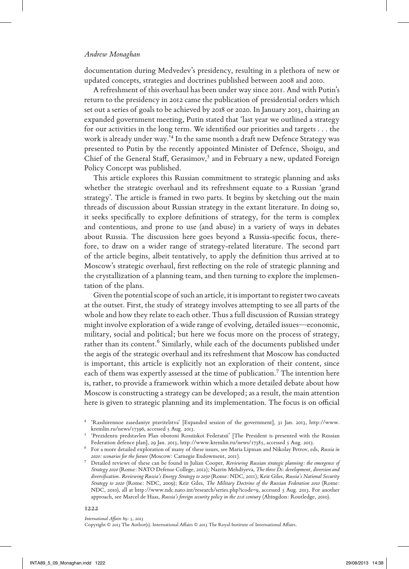documentation during Medvedev's presidency, resulting in a plethora of new or updated concepts, strategies and doctrines published between 2008 and 2010.

A refreshment of this overhaul has been under way since 2011. And with Putin's return to the presidency in 2012 came the publication of presidential orders which set out a series of goals to be achieved by 2018 or 2020. In January 2013, chairing an expanded government meeting, Putin stated that 'last year we outlined a strategy for our activities in the long term. We identified our priorities and targets . . . the work is already under way.'4 In the same month a draft new Defence Strategy was presented to Putin by the recently appointed Minister of Defence, Shoigu, and Chief of the General Staff, Gerasimov, $5$  and in February a new, updated Foreign Policy Concept was published.

This article explores this Russian commitment to strategic planning and asks whether the strategic overhaul and its refreshment equate to a Russian 'grand strategy'. The article is framed in two parts. It begins by sketching out the main threads of discussion about Russian strategy in the extant literature. In doing so, it seeks specifically to explore definitions of strategy, for the term is complex and contentious, and prone to use (and abuse) in a variety of ways in debates about Russia. The discussion here goes beyond a Russia-specific focus, therefore, to draw on a wider range of strategy-related literature. The second part of the article begins, albeit tentatively, to apply the definition thus arrived at to Moscow's strategic overhaul, first reflecting on the role of strategic planning and the crystallization of a planning team, and then turning to explore the implementation of the plans.

Given the potential scope of such an article, it is important to register two caveats at the outset. First, the study of strategy involves attempting to see all parts of the whole and how they relate to each other. Thus a full discussion of Russian strategy might involve exploration of a wide range of evolving, detailed issues—economic, military, social and political; but here we focus more on the process of strategy, rather than its content.<sup>6</sup> Similarly, while each of the documents published under the aegis of the strategic overhaul and its refreshment that Moscow has conducted is important, this article is explicitly not an exploration of their content, since each of them was expertly assessed at the time of publication.<sup>7</sup> The intention here is, rather, to provide a framework within which a more detailed debate about how Moscow is constructing a strategy can be developed; as a result, the main attention here is given to strategic planning and its implementation. The focus is on official

<sup>4</sup> 'Rasshirennoe zasedaniye pravitelstva' [Expanded session of the government], 31 Jan. 2013, http://www. kremlin.ru/news/17396, accessed 5 Aug. 2013.<br><sup>5</sup> 'Prezidentu predstavlen Plan oboroni Rossiiskoi Federatsii' [The President is presented with the Russian

Federation defence plan], 29 Jan. 2013, http://www.kremlin.ru/news/17385, accessed 5 Aug. 2013.<br><sup>6</sup> For a more detailed exploration of many of these issues, see Maria Lipman and Nikolay Petrov, eds, *Russia in*<br><sup>2020:</sup> *sc* 

<sup>&</sup>lt;sup>7</sup> Detailed reviews of these can be found in Julian Cooper, *Reviewing Russian strategic planning: the emergence of Strategy 2020* (Rome: NATO Defense College, 2012); Nazrin Mehdiyeva, *The three Ds: development, diversion and diversification. Reviewing Russia's Energy Strategy to 2030* (Rome: NDC, 2011); Keir Giles, *Russia's National Security Strategy to 2020* (Rome: NDC, 2009); Keir Giles, *The Military Doctrine of the Russian Federation 2010* (Rome: NDC, 2010), all at http://www.ndc.nato.int/research/series.php?icode=9, accessed 5 Aug. 2013. For another approach, see Marcel de Haas, *Russia's foreign security policy in the 21st century* (Abingdon: Routledge, 2010).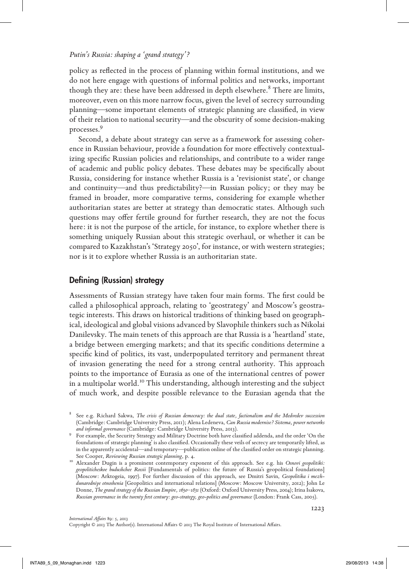## *Putin's Russia: shaping a 'grand strategy'?*

policy as reflected in the process of planning within formal institutions, and we do not here engage with questions of informal politics and networks, important though they are: these have been addressed in depth elsewhere.<sup>8</sup> There are limits, moreover, even on this more narrow focus, given the level of secrecy surrounding planning—some important elements of strategic planning are classified, in view of their relation to national security—and the obscurity of some decision-making processes.<sup>9</sup>

Second, a debate about strategy can serve as a framework for assessing coherence in Russian behaviour, provide a foundation for more effectively contextualizing specific Russian policies and relationships, and contribute to a wider range of academic and public policy debates. These debates may be specifically about Russia, considering for instance whether Russia is a 'revisionist state', or change and continuity—and thus predictability?—in Russian policy; or they may be framed in broader, more comparative terms, considering for example whether authoritarian states are better at strategy than democratic states. Although such questions may offer fertile ground for further research, they are not the focus here: it is not the purpose of the article, for instance, to explore whether there is something uniquely Russian about this strategic overhaul, or whether it can be compared to Kazakhstan's 'Strategy 2050', for instance, or with western strategies; nor is it to explore whether Russia is an authoritarian state.

# Defining (Russian) strategy

Assessments of Russian strategy have taken four main forms. The first could be called a philosophical approach, relating to 'geostrategy' and Moscow's geostrategic interests. This draws on historical traditions of thinking based on geographical, ideological and global visions advanced by Slavophile thinkers such as Nikolai Danilevsky. The main tenets of this approach are that Russia is a 'heartland' state, a bridge between emerging markets; and that its specific conditions determine a specific kind of politics, its vast, underpopulated territory and permanent threat of invasion generating the need for a strong central authority. This approach points to the importance of Eurasia as one of the international centres of power in a multipolar world.<sup>10</sup> This understanding, although interesting and the subject of much work, and despite possible relevance to the Eurasian agenda that the

<sup>8</sup> See e.g. Richard Sakwa, *The crisis of Russian democracy: the dual state, factionalism and the Medvedev succession* (Cambridge: Cambridge University Press, 2011); Alena Ledeneva, *Can Russia modernise? Sistema, power networks* 

*and informal governance* (Cambridge: Cambridge University Press, 2013). <sup>9</sup> For example, the Security Strategy and Military Doctrine both have classified addenda, and the order 'On the foundations of strategic planning' is also classified. Occasionally these veils of secrecy are temporarily lifted, as in the apparently accidental—and temporary—publication online of the classified order on strategic planning.<br>See Cooper, Reviewing Russian strategic planning, p. 4.

<sup>&</sup>lt;sup>10</sup> Alexander Dugin is a prominent contemporary exponent of this approach. See e.g. his *Osnovi geopolitiki*: *geopoliticheskoe budushchee Rossii* [Fundamentals of politics: the future of Russia's geopolitical foundations] (Moscow: Arktogeia, 1997). For further discussion of this approach, see Dmitri Savin, *Geopolitika i mezhdunarodniye otnoshenia* [Geopolitics and international relations] (Moscow: Moscow University, 2012); John Le Donne, *The grand strategy of the Russian Empire, 1650–1831* (Oxford: Oxford University Press, 2004); Irina Isakova, *Russian governance in the twenty first century: geo-strategy, geo-politics and governance* (London: Frank Cass, 2005).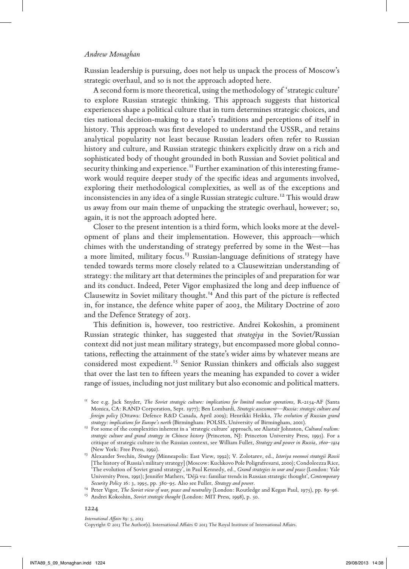Russian leadership is pursuing, does not help us unpack the process of Moscow's strategic overhaul, and so is not the approach adopted here.

A second form is more theoretical, using the methodology of 'strategic culture' to explore Russian strategic thinking. This approach suggests that historical experiences shape a political culture that in turn determines strategic choices, and ties national decision-making to a state's traditions and perceptions of itself in history. This approach was first developed to understand the USSR, and retains analytical popularity not least because Russian leaders often refer to Russian history and culture, and Russian strategic thinkers explicitly draw on a rich and sophisticated body of thought grounded in both Russian and Soviet political and security thinking and experience.<sup>11</sup> Further examination of this interesting framework would require deeper study of the specific ideas and arguments involved, exploring their methodological complexities, as well as of the exceptions and inconsistencies in any idea of a single Russian strategic culture.<sup>12</sup> This would draw us away from our main theme of unpacking the strategic overhaul, however; so, again, it is not the approach adopted here.

Closer to the present intention is a third form, which looks more at the development of plans and their implementation. However, this approach—which chimes with the understanding of strategy preferred by some in the West—has a more limited, military focus.<sup>13</sup> Russian-language definitions of strategy have tended towards terms more closely related to a Clausewitzian understanding of strategy: the military art that determines the principles of and preparation for war and its conduct. Indeed, Peter Vigor emphasized the long and deep influence of Clausewitz in Soviet military thought.14 And this part of the picture is reflected in, for instance, the defence white paper of 2003, the Military Doctrine of 2010 and the Defence Strategy of 2013.

This definition is, however, too restrictive. Andrei Kokoshin, a prominent Russian strategic thinker, has suggested that *strategiya* in the Soviet/Russian context did not just mean military strategy, but encompassed more global connotations, reflecting the attainment of the state's wider aims by whatever means are considered most expedient.<sup>15</sup> Senior Russian thinkers and officials also suggest that over the last ten to fifteen years the meaning has expanded to cover a wider range of issues, including not just military but also economic and political matters.

<sup>&</sup>lt;sup>11</sup> See e.g. Jack Snyder, *The Soviet strategic culture: implications for limited nuclear operations*, R-2154-AF (Santa Monica, CA: RAND Corporation, Sept. 1977); Ben Lombardi, *Strategic assessment—Russia: strategic culture and foreign policy* (Ottawa: Defence R&D Canada, April 2009); Henrikki Heikka, *The evolution of Russian grand* 

<sup>&</sup>lt;sup>12</sup> For some of the complexities inherent in a 'strategic culture' approach, see Alastair Johnston, *Cultural realism*: *strategic culture and grand strategy in Chinese history* (Princeton, NJ: Princeton University Press, 1995). For a critique of strategic culture in the Russian context, see William Fuller, *Strategy and power in Russia, 1600–1914* (New York: Free Press, 1992). <sup>13</sup> Alexander Svechin, *Strategy* (Minneapolis: East View, 1992); V. Zolotarev, ed., *Istoriya voennoi strategii Rossii*

<sup>[</sup>The history of Russia's military strategy] (Moscow: Kuchkovo Pole Poligrafresursi, 2000); Condoleezza Rice, 'The evolution of Soviet grand strategy', in Paul Kennedy, ed., *Grand strategies in war and peace* (London: Yale University Press, 1991); Jennifer Mathers, 'Déjà vu: familiar trends in Russian strategic thought', *Contemporary*  Security Policy 16: 3, 1995, pp. 380–95. Also see Fuller, *Strategy and power*.<br><sup>14</sup> Peter Vigor, *The Soviet view of war, peace and neutrality* (London: Routledge and Kegan Paul, 1975), pp. 89–96.<br><sup>15</sup> Andrei Kokoshin, *S*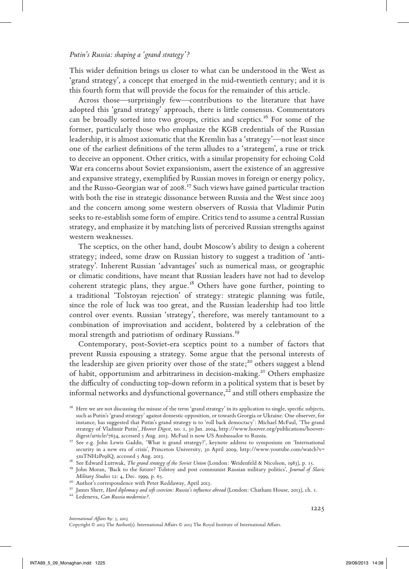This wider definition brings us closer to what can be understood in the West as 'grand strategy', a concept that emerged in the mid-twentieth century; and it is this fourth form that will provide the focus for the remainder of this article.

Across those—surprisingly few—contributions to the literature that have adopted this 'grand strategy' approach, there is little consensus. Commentators can be broadly sorted into two groups, critics and sceptics.<sup>16</sup> For some of the former, particularly those who emphasize the KGB credentials of the Russian leadership, it is almost axiomatic that the Kremlin has a 'strategy'—not least since one of the earliest definitions of the term alludes to a 'strategem', a ruse or trick to deceive an opponent. Other critics, with a similar propensity for echoing Cold War era concerns about Soviet expansionism, assert the existence of an aggressive and expansive strategy, exemplified by Russian moves in foreign or energy policy, and the Russo-Georgian war of 2008.<sup>17</sup> Such views have gained particular traction with both the rise in strategic dissonance between Russia and the West since 2003 and the concern among some western observers of Russia that Vladimir Putin seeks to re-establish some form of empire. Critics tend to assume a central Russian strategy, and emphasize it by matching lists of perceived Russian strengths against western weaknesses.

The sceptics, on the other hand, doubt Moscow's ability to design a coherent strategy; indeed, some draw on Russian history to suggest a tradition of 'antistrategy'. Inherent Russian 'advantages' such as numerical mass, or geographic or climatic conditions, have meant that Russian leaders have not had to develop coherent strategic plans, they argue.<sup>18</sup> Others have gone further, pointing to a traditional 'Tolstoyan rejection' of strategy: strategic planning was futile, since the role of luck was too great, and the Russian leadership had too little control over events. Russian 'strategy', therefore, was merely tantamount to a combination of improvisation and accident, bolstered by a celebration of the moral strength and patriotism of ordinary Russians.<sup>19</sup>

Contemporary, post-Soviet-era sceptics point to a number of factors that prevent Russia espousing a strategy. Some argue that the personal interests of the leadership are given priority over those of the state;<sup>20</sup> others suggest a blend of habit, opportunism and arbitrariness in decision-making.<sup>21</sup> Others emphasize the difficulty of conducting top-down reform in a political system that is beset by informal networks and dysfunctional governance,<sup>22</sup> and still others emphasize the

<sup>&</sup>lt;sup>16</sup> Here we are not discussing the misuse of the term 'grand strategy' in its application to single, specific subjects, such as Putin's 'grand strategy' against domestic opposition, or towards Georgia or Ukraine. One observer, for instance, has suggested that Putin's grand strategy is to 'roll back democracy': Michael McFaul, 'The grand strategy of Vladimir Putin', *Hoover Digest*, no. 1, 30 Jan. 2004, http://www.hoover.org/publications/hoover-

digest/article/7634, accessed 5 Aug. 2013. McFaul is now US Ambassador to Russia.  $^{17}$  See e.g. John Lewis Gaddis, 'What is grand strategy?', keynote address to symposium on 'International security in a new era of crisis', Princeton University, 30 April 2009, http://www.youtube.com/watch?v= smTNH2Pe9IQ, accessed 5 Aug. 2013.<br><sup>18</sup> See Edward Luttwak, *The grand strategy of the Soviet Union* (London: Weidenfeld & Nicolson, 1983), p. 15.<br><sup>19</sup> John Moran, 'Back to the future? Tolstoy and post communist Russian mi

Military Studies 12: 4, Dec. 1999, p. 65.<br><sup>20</sup> Author's correspondence with Peter Reddaway, April 2013.<br><sup>21</sup> James Sherr, *Hard diplomacy and soft coercion: Russia's influence abroad* (London: Chatham House, 2013), ch. 1.<br>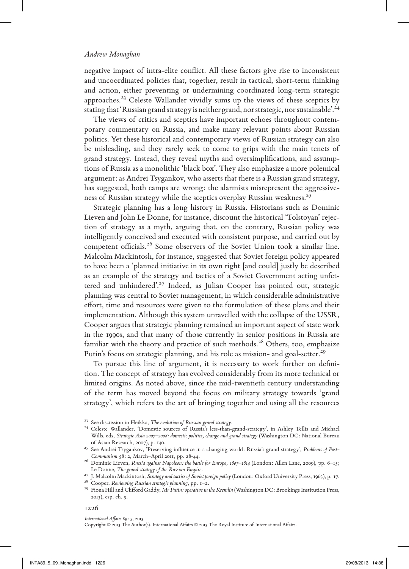negative impact of intra-elite conflict. All these factors give rise to inconsistent and uncoordinated policies that, together, result in tactical, short-term thinking and action, either preventing or undermining coordinated long-term strategic approaches.<sup>23</sup> Celeste Wallander vividly sums up the views of these sceptics by stating that 'Russian grand strategy is neither grand, nor strategic, nor sustainable'.<sup>24</sup>

The views of critics and sceptics have important echoes throughout contemporary commentary on Russia, and make many relevant points about Russian politics. Yet these historical and contemporary views of Russian strategy can also be misleading, and they rarely seek to come to grips with the main tenets of grand strategy. Instead, they reveal myths and oversimplifications, and assumptions of Russia as a monolithic 'black box'. They also emphasize a more polemical argument: as Andrei Tsygankov, who asserts that there is a Russian grand strategy, has suggested, both camps are wrong: the alarmists misrepresent the aggressiveness of Russian strategy while the sceptics overplay Russian weakness.<sup>25</sup>

Strategic planning has a long history in Russia. Historians such as Dominic Lieven and John Le Donne, for instance, discount the historical 'Tolstoyan' rejection of strategy as a myth, arguing that, on the contrary, Russian policy was intelligently conceived and executed with consistent purpose, and carried out by competent officials.26 Some observers of the Soviet Union took a similar line. Malcolm Mackintosh, for instance, suggested that Soviet foreign policy appeared to have been a 'planned initiative in its own right [and could] justly be described as an example of the strategy and tactics of a Soviet Government acting unfettered and unhindered'.<sup>27</sup> Indeed, as Julian Cooper has pointed out, strategic planning was central to Soviet management, in which considerable administrative effort, time and resources were given to the formulation of these plans and their implementation. Although this system unravelled with the collapse of the USSR, Cooper argues that strategic planning remained an important aspect of state work in the 1990s, and that many of those currently in senior positions in Russia are familiar with the theory and practice of such methods. $28$  Others, too, emphasize Putin's focus on strategic planning, and his role as mission- and goal-setter.<sup>29</sup>

To pursue this line of argument, it is necessary to work further on definition. The concept of strategy has evolved considerably from its more technical or limited origins. As noted above, since the mid-twentieth century understanding of the term has moved beyond the focus on military strategy towards 'grand strategy', which refers to the art of bringing together and using all the resources

<sup>&</sup>lt;sup>23</sup> See discussion in Heikka, *The evolution of Russian grand strategy*.<br><sup>24</sup> Celeste Wallander, 'Domestic sources of Russia's less-than-grand-strategy', in Ashley Tellis and Michael Wills, eds, *Strategic Asia 2007–2008: domestic politics, change and grand strategy* (Washington DC: National Bureau

of Asian Research, 2007), p. 140. <sup>25</sup> See Andrei Tsygankov, 'Preserving influence in a changing world: Russia's grand strategy', *Problems of Post-*

<sup>&</sup>lt;sup>26</sup> Dominic Lieven, *Russia against Napoleon: the battle for Europe, 1807–1814* (London: Allen Lane, 2009), pp. 6–15;<br>Le Donne, *The grand strategy of the Russian Empire*.

<sup>&</sup>lt;sup>27</sup> J. Malcolm Mackintosh, *Strategy and tactics of Soviet foreign policy* (London: Oxford University Press, 1963), p. 17.<br><sup>28</sup> Cooper, *Reviewing Russian strategic planning*, pp. 1–2.<br><sup>29</sup> Fiona Hill and Clifford Gaddy,

<sup>2013),</sup> esp. ch. 9.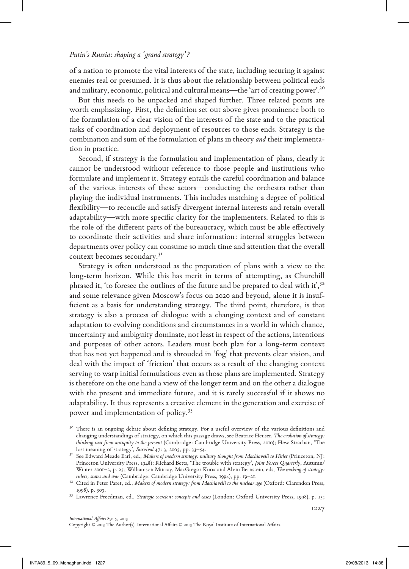of a nation to promote the vital interests of the state, including securing it against enemies real or presumed. It is thus about the relationship between political ends and military, economic, political and cultural means—the 'art of creating power'.30

But this needs to be unpacked and shaped further. Three related points are worth emphasizing. First, the definition set out above gives prominence both to the formulation of a clear vision of the interests of the state and to the practical tasks of coordination and deployment of resources to those ends. Strategy is the combination and sum of the formulation of plans in theory *and* their implementation in practice.

Second, if strategy is the formulation and implementation of plans, clearly it cannot be understood without reference to those people and institutions who formulate and implement it. Strategy entails the careful coordination and balance of the various interests of these actors—conducting the orchestra rather than playing the individual instruments. This includes matching a degree of political flexibility—to reconcile and satisfy divergent internal interests and retain overall adaptability—with more specific clarity for the implementers. Related to this is the role of the different parts of the bureaucracy, which must be able effectively to coordinate their activities and share information: internal struggles between departments over policy can consume so much time and attention that the overall context becomes secondary.31

Strategy is often understood as the preparation of plans with a view to the long-term horizon. While this has merit in terms of attempting, as Churchill phrased it, 'to foresee the outlines of the future and be prepared to deal with it',  $3<sup>2</sup>$ and some relevance given Moscow's focus on 2020 and beyond, alone it is insufficient as a basis for understanding strategy. The third point, therefore, is that strategy is also a process of dialogue with a changing context and of constant adaptation to evolving conditions and circumstances in a world in which chance, uncertainty and ambiguity dominate, not least in respect of the actions, intentions and purposes of other actors. Leaders must both plan for a long-term context that has not yet happened and is shrouded in 'fog' that prevents clear vision, and deal with the impact of 'friction' that occurs as a result of the changing context serving to warp initial formulations even as those plans are implemented. Strategy is therefore on the one hand a view of the longer term and on the other a dialogue with the present and immediate future, and it is rarely successful if it shows no adaptability. It thus represents a creative element in the generation and exercise of power and implementation of policy.33

<sup>&</sup>lt;sup>30</sup> There is an ongoing debate about defining strategy. For a useful overview of the various definitions and changing understandings of strategy, on which this passage draws, see Beatrice Heuser, *The evolution of strategy: thinking war from antiquity to the present* (Cambridge: Cambridge University Press, 2010); Hew Strachan, 'The

lost meaning of strategy', *Survival 47*: 3, 2005, pp. 33–54.<br><sup>31</sup> See Edward Meade Earl, ed., *Makers of modern strategy: military thought from Machiavelli to Hitler* (Princeton, NJ: Princeton University Press, 1948); Richard Betts, 'The trouble with strategy', *Joint Forces Quarterly*, Autumn/ Winter 2001–2, p. 25; Williamson Murray, MacGregor Knox and Alvin Bernstein, eds, *The making of strategy:* 

*rulers, states and war* (Cambridge: Cambridge University Press, 1994), pp. 19–21. <sup>32</sup> Cited in Peter Paret, ed., *Makers of modern strategy: from Machiavelli to the nuclear age* (Oxford: Clarendon Press,

<sup>1998),</sup> p. 503. <sup>33</sup> Lawrence Freedman, ed., *Strategic coercion: concepts and cases* (London: Oxford University Press, 1998), p. 15;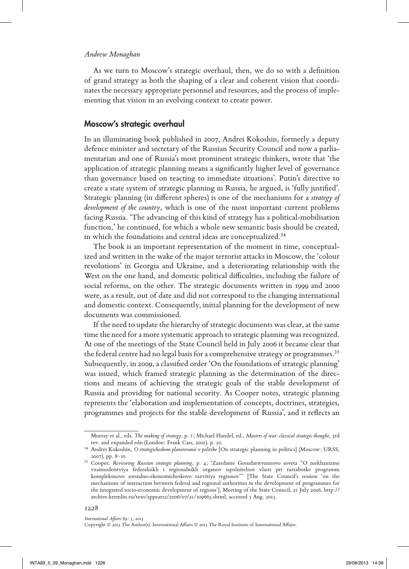As we turn to Moscow's strategic overhaul, then, we do so with a definition of grand strategy as both the shaping of a clear and coherent vision that coordinates the necessary appropriate personnel and resources, and the process of implementing that vision in an evolving context to create power.

## Moscow's strategic overhaul

In an illuminating book published in 2007, Andrei Kokoshin, formerly a deputy defence minister and secretary of the Russian Security Council and now a parliamentarian and one of Russia's most prominent strategic thinkers, wrote that 'the application of strategic planning means a significantly higher level of governance than governance based on reacting to immediate situations'. Putin's directive to create a state system of strategic planning in Russia, he argued, is 'fully justified'. Strategic planning (in different spheres) is one of the mechanisms for a *strategy of development of the country*, which is one of the most important current problems facing Russia. 'The advancing of this kind of strategy has a political-mobilisation function,' he continued, for which a whole new semantic basis should be created, in which the foundations and central ideas are conceptualized.34

The book is an important representation of the moment in time, conceptualized and written in the wake of the major terrorist attacks in Moscow, the 'colour revolutions' in Georgia and Ukraine, and a deteriorating relationship with the West on the one hand, and domestic political difficulties, including the failure of social reforms, on the other. The strategic documents written in 1999 and 2000 were, as a result, out of date and did not correspond to the changing international and domestic context. Consequently, initial planning for the development of new documents was commissioned.

If the need to update the hierarchy of strategic documents was clear, at the same time the need for a more systematic approach to strategic planning was recognized. At one of the meetings of the State Council held in July 2006 it became clear that the federal centre had no legal basis for a comprehensive strategy or programmes.<sup>35</sup> Subsequently, in 2009, a classified order 'On the foundations of strategic planning' was issued, which framed strategic planning as the determination of the directions and means of achieving the strategic goals of the stable development of Russia and providing for national security. As Cooper notes, strategic planning represents the 'elaboration and implementation of concepts, doctrines, strategies, programmes and projects for the stable development of Russia', and it reflects an

Murray et al., eds, *The making of strategy*, p. 1; Michael Handel, ed., *Masters of war: classical strategic thought*, 3rd rev. and expanded edn (London: Frank Cass, 2001), p. 50. <sup>34</sup> Andrei Kokoshin, *O strategicheskom planirovanii v politike* [On strategic planning in politics] (Moscow: URSS,

<sup>2007),</sup> pp. 8–10. <sup>35</sup> Cooper, *Reviewing Russian strategic planning*, p. 4; 'Zasedanie Gosudarstvennovo soveta "O mekhanizme

vzaimodeistviya federalnikh i regionalnikh organov ispolnitelnoi vlasti pri razrabotke programm kompleksnovo sotsialno-ekonomicheskovo razvitiya regionov"' [The State Council's session 'on the mechanisms of interaction between federal and regional authorities in the development of programmes for the integrated socio-economic development of regions'], Meeting of the State Council, 21 July 2006, http:// archive.kremlin.ru/text/appears2/2006/07/21/109663.shtml, accessed 5 Aug. 2013.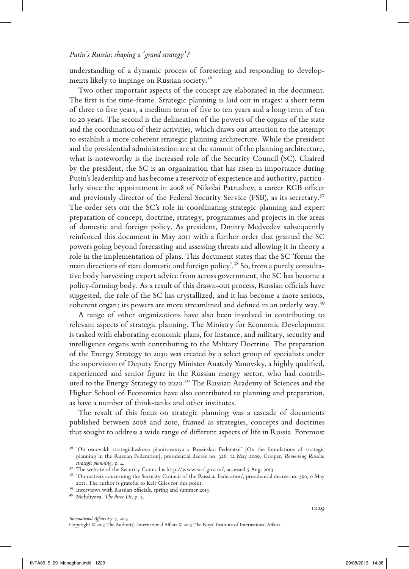understanding of a dynamic process of foreseeing and responding to developments likely to impinge on Russian society.<sup>36</sup>

Two other important aspects of the concept are elaborated in the document. The first is the time-frame. Strategic planning is laid out in stages: a short term of three to five years, a medium term of five to ten years and a long term of ten to 20 years. The second is the delineation of the powers of the organs of the state and the coordination of their activities, which draws our attention to the attempt to establish a more coherent strategic planning architecture. While the president and the presidential administration are at the summit of the planning architecture, what is noteworthy is the increased role of the Security Council (SC). Chaired by the president, the SC is an organization that has risen in importance during Putin's leadership and has become a reservoir of experience and authority, particularly since the appointment in 2008 of Nikolai Patrushev, a career KGB officer and previously director of the Federal Security Service (FSB), as its secretary.<sup>37</sup> The order sets out the SC's role in coordinating strategic planning and expert preparation of concept, doctrine, strategy, programmes and projects in the areas of domestic and foreign policy. As president, Dmitry Medvedev subsequently reinforced this document in May 2011 with a further order that granted the SC powers going beyond forecasting and assessing threats and allowing it in theory a role in the implementation of plans. This document states that the SC 'forms the main directions of state domestic and foreign policy'.38 So, from a purely consultative body harvesting expert advice from across government, the SC has become a policy-forming body. As a result of this drawn-out process, Russian officials have suggested, the role of the SC has crystallized, and it has become a more serious, coherent organ; its powers are more streamlined and defined in an orderly way.<sup>39</sup>

A range of other organizations have also been involved in contributing to relevant aspects of strategic planning. The Ministry for Economic Development is tasked with elaborating economic plans, for instance, and military, security and intelligence organs with contributing to the Military Doctrine. The preparation of the Energy Strategy to 2030 was created by a select group of specialists under the supervision of Deputy Energy Minister Anatoly Yanovsky, a highly qualified, experienced and senior figure in the Russian energy sector, who had contributed to the Energy Strategy to 2020.<sup>40</sup> The Russian Academy of Sciences and the Higher School of Economics have also contributed to planning and preparation, as have a number of think-tanks and other institutes.

The result of this focus on strategic planning was a cascade of documents published between 2008 and 2010, framed as strategies, concepts and doctrines that sought to address a wide range of different aspects of life in Russia. Foremost

<sup>36</sup> 'Ob osnovakh strategicheskovo planirovaniya v Rossiiskoi Federatsii' [On the foundations of strategic planning in the Russian Federation], presidential decree no. 326, 12 May 2009; Cooper, *Reviewing Russian* 

<sup>&</sup>lt;sup>37</sup> The website of the Security Council is http://www.scrf.gov.ru/, accessed 5 Aug. 2013.<br><sup>38</sup> 'On matters concerning the Security Council of the Russian Federation', presidential decree no. 590, 6 May 2011. The author is grateful to Keir Giles for this point. <sup>39</sup> Interviews with Russian officials, spring and summer 2013. <sup>40</sup> Mehdiyeva, *The three Ds*, p. 3.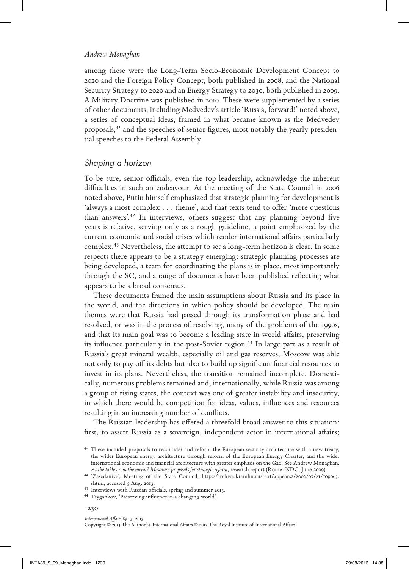among these were the Long-Term Socio-Economic Development Concept to 2020 and the Foreign Policy Concept, both published in 2008, and the National Security Strategy to 2020 and an Energy Strategy to 2030, both published in 2009. A Military Doctrine was published in 2010. These were supplemented by a series of other documents, including Medvedev's article 'Russia, forward!' noted above, a series of conceptual ideas, framed in what became known as the Medvedev proposals,<sup>41</sup> and the speeches of senior figures, most notably the yearly presidential speeches to the Federal Assembly.

## *Shaping a horizon*

To be sure, senior officials, even the top leadership, acknowledge the inherent difficulties in such an endeavour. At the meeting of the State Council in 2006 noted above, Putin himself emphasized that strategic planning for development is 'always a most complex . . . theme', and that texts tend to offer 'more questions than answers'.42 In interviews, others suggest that any planning beyond five years is relative, serving only as a rough guideline, a point emphasized by the current economic and social crises which render international affairs particularly complex.43 Nevertheless, the attempt to set a long-term horizon is clear. In some respects there appears to be a strategy emerging: strategic planning processes are being developed, a team for coordinating the plans is in place, most importantly through the SC, and a range of documents have been published reflecting what appears to be a broad consensus.

These documents framed the main assumptions about Russia and its place in the world, and the directions in which policy should be developed. The main themes were that Russia had passed through its transformation phase and had resolved, or was in the process of resolving, many of the problems of the 1990s, and that its main goal was to become a leading state in world affairs, preserving its influence particularly in the post-Soviet region.<sup>44</sup> In large part as a result of Russia's great mineral wealth, especially oil and gas reserves, Moscow was able not only to pay off its debts but also to build up significant financial resources to invest in its plans. Nevertheless, the transition remained incomplete. Domestically, numerous problems remained and, internationally, while Russia was among a group of rising states, the context was one of greater instability and insecurity, in which there would be competition for ideas, values, influences and resources resulting in an increasing number of conflicts.

The Russian leadership has offered a threefold broad answer to this situation: first, to assert Russia as a sovereign, independent actor in international affairs;

<sup>&</sup>lt;sup>41</sup> These included proposals to reconsider and reform the European security architecture with a new treaty, the wider European energy architecture through reform of the European Energy Charter, and the wider international economic and financial architecture with greater emphasis on the G20. See Andrew Monaghan, At the table or on the menu? Moscow's proposals for strategic reform, research report (Rome: NDC, June 2009).

<sup>&</sup>lt;sup>42</sup> 'Zasedaniye', Meeting of the State Council, http://archive.kremlin.ru/text/appears2/2006/07/21/109663. shtml, accessed 5 Aug. 2013. 43 Interviews with Russian officials, spring and summer 2013. <sup>44</sup> Tsygankov, 'Preserving influence in a changing world'.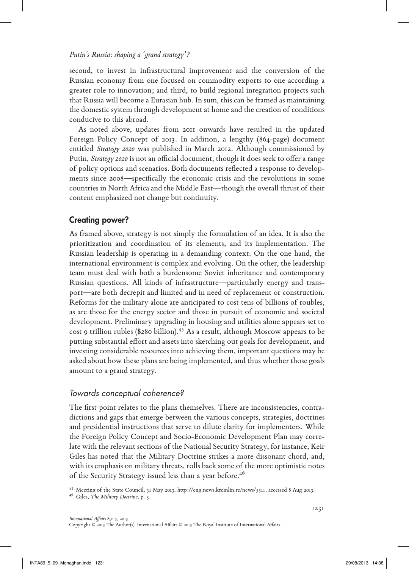## *Putin's Russia: shaping a 'grand strategy'?*

second, to invest in infrastructural improvement and the conversion of the Russian economy from one focused on commodity exports to one according a greater role to innovation; and third, to build regional integration projects such that Russia will become a Eurasian hub. In sum, this can be framed as maintaining the domestic system through development at home and the creation of conditions conducive to this abroad.

As noted above, updates from 2011 onwards have resulted in the updated Foreign Policy Concept of 2013. In addition, a lengthy (864-page) document entitled *Strategy 2020* was published in March 2012. Although commissioned by Putin, *Strategy 2020* is not an official document, though it does seek to offer a range of policy options and scenarios. Both documents reflected a response to developments since 2008—specifically the economic crisis and the revolutions in some countries in North Africa and the Middle East—though the overall thrust of their content emphasized not change but continuity.

# Creating power?

As framed above, strategy is not simply the formulation of an idea. It is also the prioritization and coordination of its elements, and its implementation. The Russian leadership is operating in a demanding context. On the one hand, the international environment is complex and evolving. On the other, the leadership team must deal with both a burdensome Soviet inheritance and contemporary Russian questions. All kinds of infrastructure—particularly energy and transport—are both decrepit and limited and in need of replacement or construction. Reforms for the military alone are anticipated to cost tens of billions of roubles, as are those for the energy sector and those in pursuit of economic and societal development. Preliminary upgrading in housing and utilities alone appears set to cost 9 trillion rubles (\$280 billion).<sup>45</sup> As a result, although Moscow appears to be putting substantial effort and assets into sketching out goals for development, and investing considerable resources into achieving them, important questions may be asked about how these plans are being implemented, and thus whether those goals amount to a grand strategy.

## *Towards conceptual coherence?*

The first point relates to the plans themselves. There are inconsistencies, contradictions and gaps that emerge between the various concepts, strategies, doctrines and presidential instructions that serve to dilute clarity for implementers. While the Foreign Policy Concept and Socio-Economic Development Plan may correlate with the relevant sections of the National Security Strategy, for instance, Keir Giles has noted that the Military Doctrine strikes a more dissonant chord, and, with its emphasis on military threats, rolls back some of the more optimistic notes of the Security Strategy issued less than a year before.<sup>46</sup>

<sup>45</sup> Meeting of the State Council, 31 May 2013, <http://eng.news.kremlin.re/news/5511>, accessed 8 Aug 2013. 46 Giles, *The Military Doctrine*, p. 3.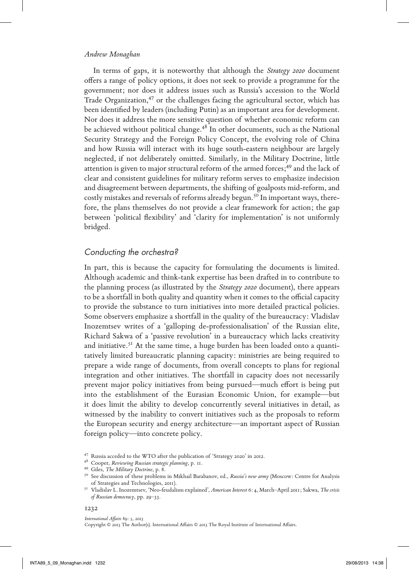In terms of gaps, it is noteworthy that although the *Strategy 2020* document offers a range of policy options, it does not seek to provide a programme for the government; nor does it address issues such as Russia's accession to the World Trade Organization, $47$  or the challenges facing the agricultural sector, which has been identified by leaders (including Putin) as an important area for development. Nor does it address the more sensitive question of whether economic reform can be achieved without political change.<sup>48</sup> In other documents, such as the National Security Strategy and the Foreign Policy Concept, the evolving role of China and how Russia will interact with its huge south-eastern neighbour are largely neglected, if not deliberately omitted. Similarly, in the Military Doctrine, little attention is given to major structural reform of the armed forces;<sup>49</sup> and the lack of clear and consistent guidelines for military reform serves to emphasize indecision and disagreement between departments, the shifting of goalposts mid-reform, and costly mistakes and reversals of reforms already begun.<sup>50</sup> In important ways, therefore, the plans themselves do not provide a clear framework for action; the gap between 'political flexibility' and 'clarity for implementation' is not uniformly bridged.

# *Conducting the orchestra?*

In part, this is because the capacity for formulating the documents is limited. Although academic and think-tank expertise has been drafted in to contribute to the planning process (as illustrated by the *Strategy 2020* document), there appears to be a shortfall in both quality and quantity when it comes to the official capacity to provide the substance to turn initiatives into more detailed practical policies. Some observers emphasize a shortfall in the quality of the bureaucracy: Vladislav Inozemtsev writes of a 'galloping de-professionalisation' of the Russian elite, Richard Sakwa of a 'passive revolution' in a bureaucracy which lacks creativity and initiative.<sup>51</sup> At the same time, a huge burden has been loaded onto a quantitatively limited bureaucratic planning capacity: ministries are being required to prepare a wide range of documents, from overall concepts to plans for regional integration and other initiatives. The shortfall in capacity does not necessarily prevent major policy initiatives from being pursued—much effort is being put into the establishment of the Eurasian Economic Union, for example—but it does limit the ability to develop concurrently several initiatives in detail, as witnessed by the inability to convert initiatives such as the proposals to reform the European security and energy architecture—an important aspect of Russian foreign policy—into concrete policy.

<sup>&</sup>lt;sup>47</sup> Russia acceded to the WTO after the publication of 'Strategy 2020' in 2012.<br><sup>48</sup> Cooper, *Reviewing Russian strategic planning*, p. 11.<br><sup>49</sup> Giles, *The Military Doctrine*, p. 8.<br><sup>50</sup> See discussion of these problems of Strategies and Technologies, 2011). <sup>51</sup> Vladislav L. Inozemtsev, 'Neo-feudalism explained', *American Interest* 6: 4, March–April 2011; Sakwa, *The crisis* 

*of Russian democracy*, pp. 29–33.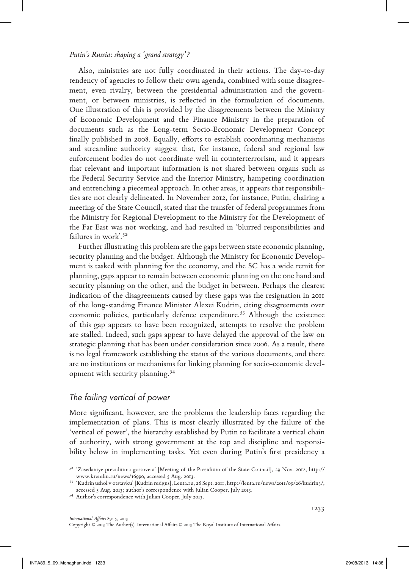## *Putin's Russia: shaping a 'grand strategy'?*

Also, ministries are not fully coordinated in their actions. The day-to-day tendency of agencies to follow their own agenda, combined with some disagreement, even rivalry, between the presidential administration and the government, or between ministries, is reflected in the formulation of documents. One illustration of this is provided by the disagreements between the Ministry of Economic Development and the Finance Ministry in the preparation of documents such as the Long-term Socio-Economic Development Concept finally published in 2008. Equally, efforts to establish coordinating mechanisms and streamline authority suggest that, for instance, federal and regional law enforcement bodies do not coordinate well in counterterrorism, and it appears that relevant and important information is not shared between organs such as the Federal Security Service and the Interior Ministry, hampering coordination and entrenching a piecemeal approach. In other areas, it appears that responsibilities are not clearly delineated. In November 2012, for instance, Putin, chairing a meeting of the State Council, stated that the transfer of federal programmes from the Ministry for Regional Development to the Ministry for the Development of the Far East was not working, and had resulted in 'blurred responsibilities and failures in work'.<sup>52</sup>

Further illustrating this problem are the gaps between state economic planning, security planning and the budget. Although the Ministry for Economic Development is tasked with planning for the economy, and the SC has a wide remit for planning, gaps appear to remain between economic planning on the one hand and security planning on the other, and the budget in between. Perhaps the clearest indication of the disagreements caused by these gaps was the resignation in 2011 of the long-standing Finance Minister Alexei Kudrin, citing disagreements over economic policies, particularly defence expenditure.<sup>53</sup> Although the existence of this gap appears to have been recognized, attempts to resolve the problem are stalled. Indeed, such gaps appear to have delayed the approval of the law on strategic planning that has been under consideration since 2006. As a result, there is no legal framework establishing the status of the various documents, and there are no institutions or mechanisms for linking planning for socio-economic development with security planning.<sup>54</sup>

# *The failing vertical of power*

More significant, however, are the problems the leadership faces regarding the implementation of plans. This is most clearly illustrated by the failure of the 'vertical of power', the hierarchy established by Putin to facilitate a vertical chain of authority, with strong government at the top and discipline and responsibility below in implementing tasks. Yet even during Putin's first presidency a

<sup>52</sup> 'Zasedaniye prezidiuma gossoveta' [Meeting of the Presidium of the State Council], 29 Nov. 2012, http:// www.kremlin.ru/news/16990, accessed 5 Aug. 2013. 53 'Kudrin ushol v otstavku' [Kudrin resigns], Lenta.ru, 26 Sept. 2011, http://lenta.ru/news/2011/09/26/kudrin3/,

accessed 5 Aug. 2013; author's correspondence with Julian Cooper, July 2013. <sup>54</sup> Author's correspondence with Julian Cooper, July 2013.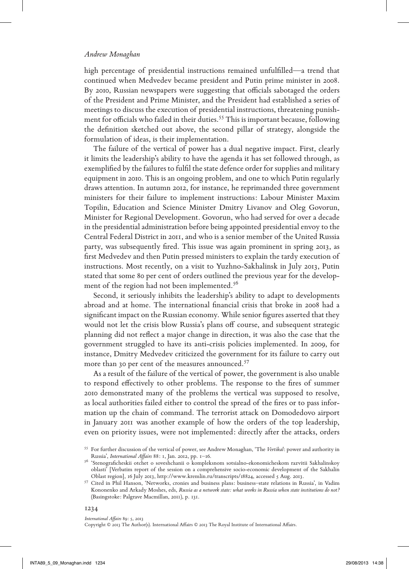high percentage of presidential instructions remained unfulfilled—a trend that continued when Medvedev became president and Putin prime minister in 2008. By 2010, Russian newspapers were suggesting that officials sabotaged the orders of the President and Prime Minister, and the President had established a series of meetings to discuss the execution of presidential instructions, threatening punishment for officials who failed in their duties.<sup>55</sup> This is important because, following the definition sketched out above, the second pillar of strategy, alongside the formulation of ideas, is their implementation.

The failure of the vertical of power has a dual negative impact. First, clearly it limits the leadership's ability to have the agenda it has set followed through, as exemplified by the failures to fulfil the state defence order for supplies and military equipment in 2010. This is an ongoing problem, and one to which Putin regularly draws attention. In autumn 2012, for instance, he reprimanded three government ministers for their failure to implement instructions: Labour Minister Maxim Topilin, Education and Science Minister Dmitry Livanov and Oleg Govorun, Minister for Regional Development. Govorun, who had served for over a decade in the presidential administration before being appointed presidential envoy to the Central Federal District in 2011, and who is a senior member of the United Russia party, was subsequently fired. This issue was again prominent in spring 2013, as first Medvedev and then Putin pressed ministers to explain the tardy execution of instructions. Most recently, on a visit to Yuzhno-Sakhalinsk in July 2013, Putin stated that some 80 per cent of orders outlined the previous year for the development of the region had not been implemented.<sup>56</sup>

Second, it seriously inhibits the leadership's ability to adapt to developments abroad and at home. The international financial crisis that broke in 2008 had a significant impact on the Russian economy. While senior figures asserted that they would not let the crisis blow Russia's plans off course, and subsequent strategic planning did not reflect a major change in direction, it was also the case that the government struggled to have its anti-crisis policies implemented. In 2009, for instance, Dmitry Medvedev criticized the government for its failure to carry out more than 30 per cent of the measures announced.<sup>57</sup>

As a result of the failure of the vertical of power, the government is also unable to respond effectively to other problems. The response to the fires of summer 2010 demonstrated many of the problems the vertical was supposed to resolve, as local authorities failed either to control the spread of the fires or to pass information up the chain of command. The terrorist attack on Domodedovo airport in January 2011 was another example of how the orders of the top leadership, even on priority issues, were not implemented: directly after the attacks, orders

<sup>55</sup> For further discussion of the vertical of power, see Andrew Monaghan, 'The *Vertikal*: power and authority in

<sup>&</sup>lt;sup>56</sup> 'Stenograficheskii otchet o soveshchanii o kompleksnom sotsialno-ekonomicheskom razvitii Sakhalinskoy oblasti' [Verbatim report of the session on a comprehensive socio-economic development of the Sakhalin Oblast region], 16 July 2013, http://www.kremlin.ru/transcripts/18824, accessed 5 Aug. 2013. 57 Cited in Phil Hanson, 'Networks, cronies and business plans: business–state relations in Russia', in Vadim

Kononenko and Arkady Moshes, eds, *Russia as a network state: what works in Russia when state institutions do not?* (Basingstoke: Palgrave Macmillan, 2011), p. 131.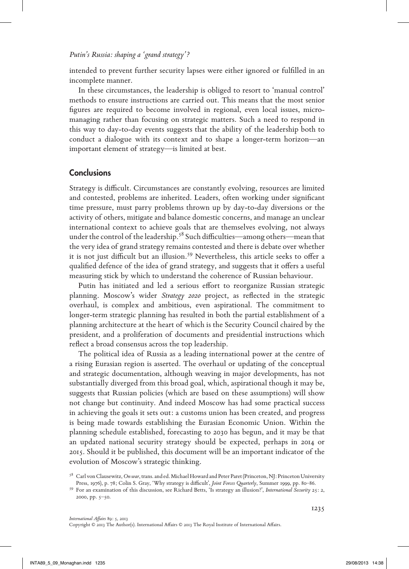intended to prevent further security lapses were either ignored or fulfilled in an incomplete manner.

In these circumstances, the leadership is obliged to resort to 'manual control' methods to ensure instructions are carried out. This means that the most senior figures are required to become involved in regional, even local issues, micromanaging rather than focusing on strategic matters. Such a need to respond in this way to day-to-day events suggests that the ability of the leadership both to conduct a dialogue with its context and to shape a longer-term horizon—an important element of strategy—is limited at best.

# **Conclusions**

Strategy is difficult. Circumstances are constantly evolving, resources are limited and contested, problems are inherited. Leaders, often working under significant time pressure, must parry problems thrown up by day-to-day diversions or the activity of others, mitigate and balance domestic concerns, and manage an unclear international context to achieve goals that are themselves evolving, not always under the control of the leadership.<sup>58</sup> Such difficulties—among others—mean that the very idea of grand strategy remains contested and there is debate over whether it is not just difficult but an illusion.<sup>59</sup> Nevertheless, this article seeks to offer a qualified defence of the idea of grand strategy, and suggests that it offers a useful measuring stick by which to understand the coherence of Russian behaviour.

Putin has initiated and led a serious effort to reorganize Russian strategic planning. Moscow's wider *Strategy 2020* project, as reflected in the strategic overhaul, is complex and ambitious, even aspirational. The commitment to longer-term strategic planning has resulted in both the partial establishment of a planning architecture at the heart of which is the Security Council chaired by the president, and a proliferation of documents and presidential instructions which reflect a broad consensus across the top leadership.

The political idea of Russia as a leading international power at the centre of a rising Eurasian region is asserted. The overhaul or updating of the conceptual and strategic documentation, although weaving in major developments, has not substantially diverged from this broad goal, which, aspirational though it may be, suggests that Russian policies (which are based on these assumptions) will show not change but continuity. And indeed Moscow has had some practical success in achieving the goals it sets out: a customs union has been created, and progress is being made towards establishing the Eurasian Economic Union. Within the planning schedule established, forecasting to 2030 has begun, and it may be that an updated national security strategy should be expected, perhaps in 2014 or 2015. Should it be published, this document will be an important indicator of the evolution of Moscow's strategic thinking.

<sup>58</sup> Carl von Clausewitz, *On war*, trans. and ed. Michael Howard and Peter Paret (Princeton, NJ: Princeton University

<sup>&</sup>lt;sup>59</sup> For an examination of this discussion, see Richard Betts, 'Is strategy an illusion?', International Security 25: 2, 2000, pp. 5–50.